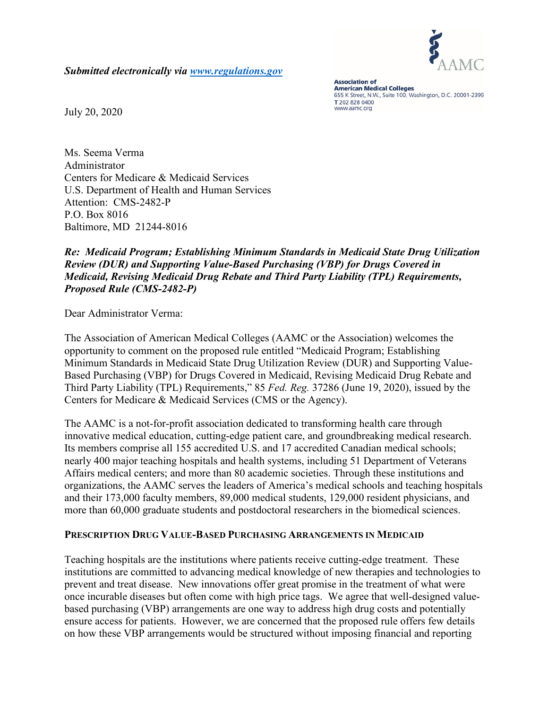

*Submitted electronically via [www.regulations.gov](http://www.regulations.gov/)*

**Association of American Medical Colleges** 655 K Street, N.W., Suite 100, Washington, D.C. 20001-2399 T 202 828 0400 www.aamc.org

July 20, 2020

Ms. Seema Verma Administrator Centers for Medicare & Medicaid Services U.S. Department of Health and Human Services Attention: CMS-2482-P P.O. Box 8016 Baltimore, MD 21244-8016

## *Re: Medicaid Program; Establishing Minimum Standards in Medicaid State Drug Utilization Review (DUR) and Supporting Value-Based Purchasing (VBP) for Drugs Covered in Medicaid, Revising Medicaid Drug Rebate and Third Party Liability (TPL) Requirements, Proposed Rule (CMS-2482-P)*

Dear Administrator Verma:

The Association of American Medical Colleges (AAMC or the Association) welcomes the opportunity to comment on the proposed rule entitled "Medicaid Program; Establishing Minimum Standards in Medicaid State Drug Utilization Review (DUR) and Supporting Value-Based Purchasing (VBP) for Drugs Covered in Medicaid, Revising Medicaid Drug Rebate and Third Party Liability (TPL) Requirements," 85 *Fed. Reg.* 37286 (June 19, 2020), issued by the Centers for Medicare & Medicaid Services (CMS or the Agency).

The AAMC is a not-for-profit association dedicated to transforming health care through innovative medical education, cutting-edge patient care, and groundbreaking medical research. Its members comprise all 155 accredited U.S. and 17 accredited Canadian medical schools; nearly 400 major teaching hospitals and health systems, including 51 Department of Veterans Affairs medical centers; and more than 80 academic societies. Through these institutions and organizations, the AAMC serves the leaders of America's medical schools and teaching hospitals and their 173,000 faculty members, 89,000 medical students, 129,000 resident physicians, and more than 60,000 graduate students and postdoctoral researchers in the biomedical sciences.

#### **PRESCRIPTION DRUG VALUE-BASED PURCHASING ARRANGEMENTS IN MEDICAID**

Teaching hospitals are the institutions where patients receive cutting-edge treatment. These institutions are committed to advancing medical knowledge of new therapies and technologies to prevent and treat disease. New innovations offer great promise in the treatment of what were once incurable diseases but often come with high price tags. We agree that well-designed valuebased purchasing (VBP) arrangements are one way to address high drug costs and potentially ensure access for patients. However, we are concerned that the proposed rule offers few details on how these VBP arrangements would be structured without imposing financial and reporting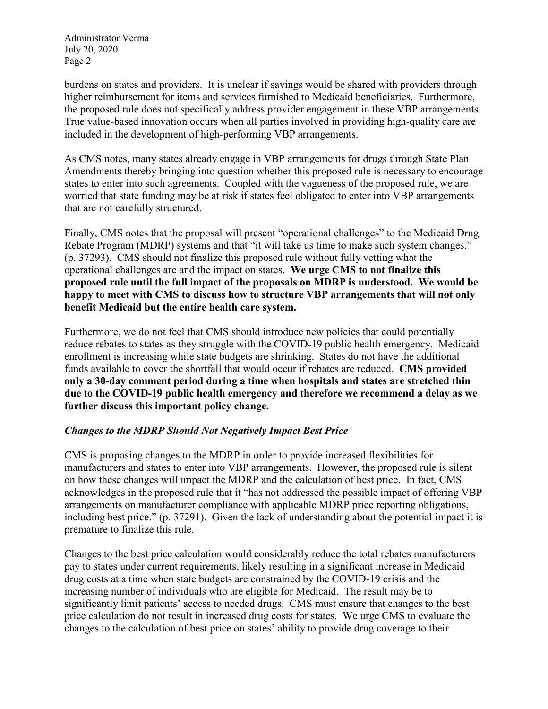burdens on states and providers. It is unclear if savings would be shared with providers through higher reimbursement for items and services furnished to Medicaid beneficiaries. Furthermore, the proposed rule does not specifically address provider engagement in these VBP arrangements. True value-based innovation occurs when all parties involved in providing high-quality care are included in the development of high-performing VBP arrangements.

As CMS notes, many states already engage in VBP arrangements for drugs through State Plan Amendments thereby bringing into question whether this proposed rule is necessary to encourage states to enter into such agreements. Coupled with the vagueness of the proposed rule, we are worried that state funding may be at risk if states feel obligated to enter into VBP arrangements that are not carefully structured.

Finally, CMS notes that the proposal will present "operational challenges" to the Medicaid Drug Rebate Program (MDRP) systems and that "it will take us time to make such system changes." (p. 37293). CMS should not finalize this proposed rule without fully vetting what the operational challenges are and the impact on states. **We urge CMS to not finalize this proposed rule until the full impact of the proposals on MDRP is understood. We would be happy to meet with CMS to discuss how to structure VBP arrangements that will not only benefit Medicaid but the entire health care system.** 

Furthermore, we do not feel that CMS should introduce new policies that could potentially reduce rebates to states as they struggle with the COVID-19 public health emergency. Medicaid enrollment is increasing while state budgets are shrinking. States do not have the additional funds available to cover the shortfall that would occur if rebates are reduced. **CMS provided only a 30-day comment period during a time when hospitals and states are stretched thin due to the COVID-19 public health emergency and therefore we recommend a delay as we further discuss this important policy change.** 

## *Changes to the MDRP Should Not Negatively Impact Best Price*

CMS is proposing changes to the MDRP in order to provide increased flexibilities for manufacturers and states to enter into VBP arrangements. However, the proposed rule is silent on how these changes will impact the MDRP and the calculation of best price. In fact, CMS acknowledges in the proposed rule that it "has not addressed the possible impact of offering VBP arrangements on manufacturer compliance with applicable MDRP price reporting obligations, including best price." (p. 37291). Given the lack of understanding about the potential impact it is premature to finalize this rule.

Changes to the best price calculation would considerably reduce the total rebates manufacturers pay to states under current requirements, likely resulting in a significant increase in Medicaid drug costs at a time when state budgets are constrained by the COVID-19 crisis and the increasing number of individuals who are eligible for Medicaid. The result may be to significantly limit patients' access to needed drugs. CMS must ensure that changes to the best price calculation do not result in increased drug costs for states. We urge CMS to evaluate the changes to the calculation of best price on states' ability to provide drug coverage to their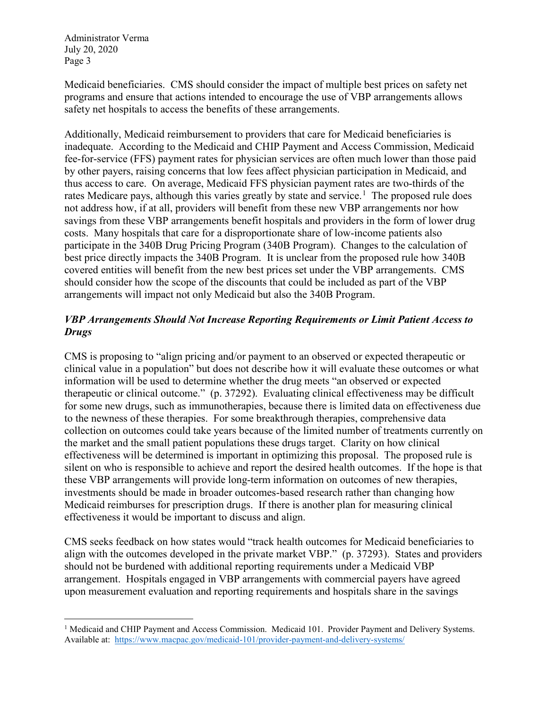l

Medicaid beneficiaries. CMS should consider the impact of multiple best prices on safety net programs and ensure that actions intended to encourage the use of VBP arrangements allows safety net hospitals to access the benefits of these arrangements.

Additionally, Medicaid reimbursement to providers that care for Medicaid beneficiaries is inadequate. According to the Medicaid and CHIP Payment and Access Commission, Medicaid fee-for-service (FFS) payment rates for physician services are often much lower than those paid by other payers, raising concerns that low fees affect physician participation in Medicaid, and thus access to care. On average, Medicaid FFS physician payment rates are two-thirds of the rates Medicare pays, although this varies greatly by state and service.<sup>[1](#page-2-0)</sup> The proposed rule does not address how, if at all, providers will benefit from these new VBP arrangements nor how savings from these VBP arrangements benefit hospitals and providers in the form of lower drug costs. Many hospitals that care for a disproportionate share of low-income patients also participate in the 340B Drug Pricing Program (340B Program). Changes to the calculation of best price directly impacts the 340B Program. It is unclear from the proposed rule how 340B covered entities will benefit from the new best prices set under the VBP arrangements. CMS should consider how the scope of the discounts that could be included as part of the VBP arrangements will impact not only Medicaid but also the 340B Program.

# *VBP Arrangements Should Not Increase Reporting Requirements or Limit Patient Access to Drugs*

CMS is proposing to "align pricing and/or payment to an observed or expected therapeutic or clinical value in a population" but does not describe how it will evaluate these outcomes or what information will be used to determine whether the drug meets "an observed or expected therapeutic or clinical outcome." (p. 37292). Evaluating clinical effectiveness may be difficult for some new drugs, such as immunotherapies, because there is limited data on effectiveness due to the newness of these therapies. For some breakthrough therapies, comprehensive data collection on outcomes could take years because of the limited number of treatments currently on the market and the small patient populations these drugs target. Clarity on how clinical effectiveness will be determined is important in optimizing this proposal. The proposed rule is silent on who is responsible to achieve and report the desired health outcomes. If the hope is that these VBP arrangements will provide long-term information on outcomes of new therapies, investments should be made in broader outcomes-based research rather than changing how Medicaid reimburses for prescription drugs. If there is another plan for measuring clinical effectiveness it would be important to discuss and align.

CMS seeks feedback on how states would "track health outcomes for Medicaid beneficiaries to align with the outcomes developed in the private market VBP." (p. 37293). States and providers should not be burdened with additional reporting requirements under a Medicaid VBP arrangement. Hospitals engaged in VBP arrangements with commercial payers have agreed upon measurement evaluation and reporting requirements and hospitals share in the savings

<span id="page-2-0"></span><sup>&</sup>lt;sup>1</sup> Medicaid and CHIP Payment and Access Commission. Medicaid 101. Provider Payment and Delivery Systems. Available at: <https://www.macpac.gov/medicaid-101/provider-payment-and-delivery-systems/>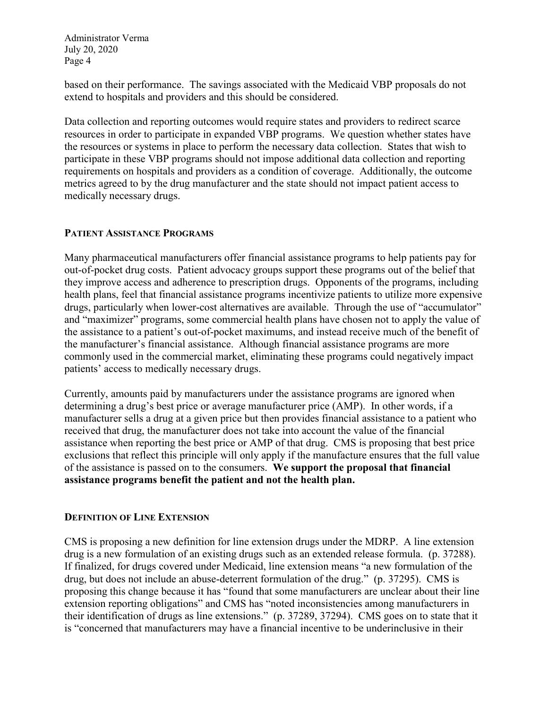based on their performance. The savings associated with the Medicaid VBP proposals do not extend to hospitals and providers and this should be considered.

Data collection and reporting outcomes would require states and providers to redirect scarce resources in order to participate in expanded VBP programs. We question whether states have the resources or systems in place to perform the necessary data collection. States that wish to participate in these VBP programs should not impose additional data collection and reporting requirements on hospitals and providers as a condition of coverage. Additionally, the outcome metrics agreed to by the drug manufacturer and the state should not impact patient access to medically necessary drugs.

### **PATIENT ASSISTANCE PROGRAMS**

Many pharmaceutical manufacturers offer financial assistance programs to help patients pay for out-of-pocket drug costs. Patient advocacy groups support these programs out of the belief that they improve access and adherence to prescription drugs. Opponents of the programs, including health plans, feel that financial assistance programs incentivize patients to utilize more expensive drugs, particularly when lower-cost alternatives are available. Through the use of "accumulator" and "maximizer" programs, some commercial health plans have chosen not to apply the value of the assistance to a patient's out-of-pocket maximums, and instead receive much of the benefit of the manufacturer's financial assistance. Although financial assistance programs are more commonly used in the commercial market, eliminating these programs could negatively impact patients' access to medically necessary drugs.

Currently, amounts paid by manufacturers under the assistance programs are ignored when determining a drug's best price or average manufacturer price (AMP). In other words, if a manufacturer sells a drug at a given price but then provides financial assistance to a patient who received that drug, the manufacturer does not take into account the value of the financial assistance when reporting the best price or AMP of that drug. CMS is proposing that best price exclusions that reflect this principle will only apply if the manufacture ensures that the full value of the assistance is passed on to the consumers. **We support the proposal that financial assistance programs benefit the patient and not the health plan.**

## **DEFINITION OF LINE EXTENSION**

CMS is proposing a new definition for line extension drugs under the MDRP. A line extension drug is a new formulation of an existing drugs such as an extended release formula. (p. 37288). If finalized, for drugs covered under Medicaid, line extension means "a new formulation of the drug, but does not include an abuse-deterrent formulation of the drug." (p. 37295). CMS is proposing this change because it has "found that some manufacturers are unclear about their line extension reporting obligations" and CMS has "noted inconsistencies among manufacturers in their identification of drugs as line extensions." (p. 37289, 37294). CMS goes on to state that it is "concerned that manufacturers may have a financial incentive to be underinclusive in their